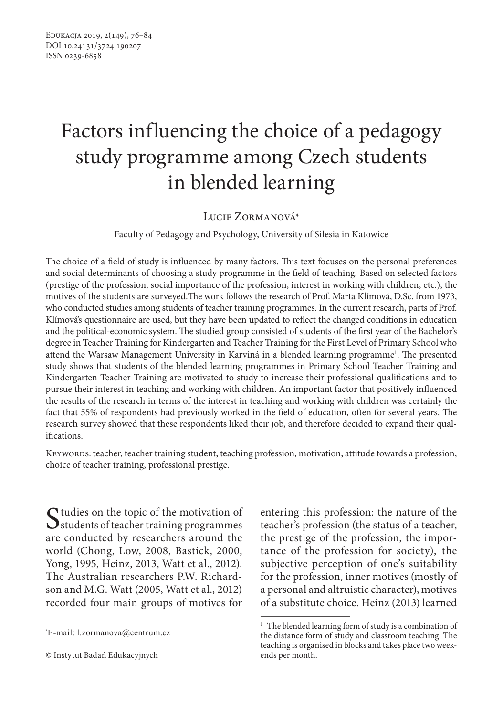# Factors influencing the choice of a pedagogy study programme among Czech students in blended learning

# Lucie Zormanová\*

## Faculty of Pedagogy and Psychology, University of Silesia in Katowice

The choice of a field of study is influenced by many factors. This text focuses on the personal preferences and social determinants of choosing a study programme in the field of teaching. Based on selected factors (prestige of the profession, social importance of the profession, interest in working with children, etc.), the motives of the students are surveyed.The work follows the research of Prof. Marta Klímová, D.Sc. from 1973, who conducted studies among students of teacher training programmes. In the current research, parts of Prof. Klímová's questionnaire are used, but they have been updated to reflect the changed conditions in education and the political-economic system. The studied group consisted of students of the first year of the Bachelor's degree in Teacher Training for Kindergarten and Teacher Training for the First Level of Primary School who attend the Warsaw Management University in Karviná in a blended learning programme<sup>1</sup>. The presented study shows that students of the blended learning programmes in Primary School Teacher Training and Kindergarten Teacher Training are motivated to study to increase their professional qualifications and to pursue their interest in teaching and working with children. An important factor that positively influenced the results of the research in terms of the interest in teaching and working with children was certainly the fact that 55% of respondents had previously worked in the field of education, often for several years. The research survey showed that these respondents liked their job, and therefore decided to expand their qualifications.

Keywords: teacher, teacher training student, teaching profession, motivation, attitude towards a profession, choice of teacher training, professional prestige.

Studies on the topic of the motivation of<br>
Students of teacher training programmes are conducted by researchers around the world (Chong, Low, 2008, Bastick, 2000, Yong, 1995, Heinz, 2013, Watt et al., 2012). The Australian researchers P.W. Richardson and M.G. Watt (2005, Watt et al., 2012) recorded four main groups of motives for

entering this profession: the nature of the teacher's profession (the status of a teacher, the prestige of the profession, the importance of the profession for society), the subjective perception of one's suitability for the profession, inner motives (mostly of a personal and altruistic character), motives of a substitute choice. Heinz (2013) learned

<sup>\*</sup> E-mail: l.zormanova@centrum.cz

<sup>©</sup> Instytut Badań Edukacyjnych

<sup>&</sup>lt;sup>1</sup> The blended learning form of study is a combination of the distance form of study and classroom teaching. The teaching is organised in blocks and takes place two weekends per month.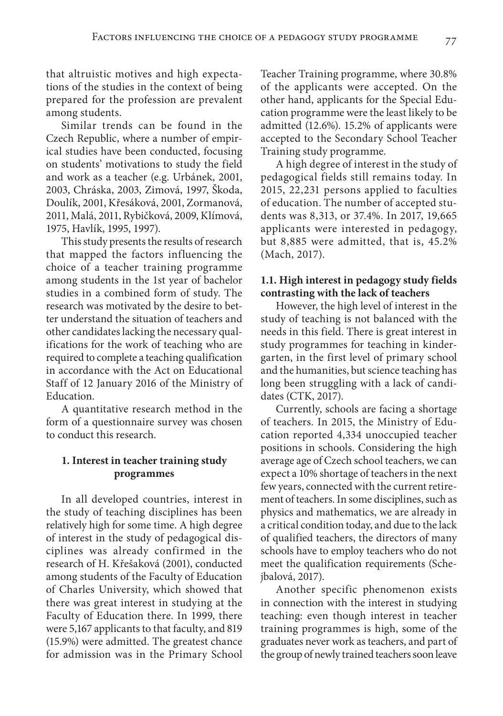that altruistic motives and high expectations of the studies in the context of being prepared for the profession are prevalent among students.

Similar trends can be found in the Czech Republic, where a number of empirical studies have been conducted, focusing on students' motivations to study the field and work as a teacher (e.g. Urbánek, 2001, 2003, Chráska, 2003, Zimová, 1997, Škoda, Doulík, 2001, Křesáková, 2001, Zormanová, 2011, Malá, 2011, Rybičková, 2009, Klímová, 1975, Havlík, 1995, 1997).

This study presents the results of research that mapped the factors influencing the choice of a teacher training programme among students in the 1st year of bachelor studies in a combined form of study. The research was motivated by the desire to better understand the situation of teachers and other candidates lacking the necessary qualifications for the work of teaching who are required to complete a teaching qualification in accordance with the Act on Educational Staff of 12 January 2016 of the Ministry of Education.

A quantitative research method in the form of a questionnaire survey was chosen to conduct this research.

# **1. Interest in teacher training study programmes**

In all developed countries, interest in the study of teaching disciplines has been relatively high for some time. A high degree of interest in the study of pedagogical disciplines was already confirmed in the research of H. Křešaková (2001), conducted among students of the Faculty of Education of Charles University, which showed that there was great interest in studying at the Faculty of Education there. In 1999, there were 5,167 applicants to that faculty, and 819 (15.9%) were admitted. The greatest chance for admission was in the Primary School Teacher Training programme, where 30.8% of the applicants were accepted. On the other hand, applicants for the Special Education programme were the least likely to be admitted (12.6%). 15.2% of applicants were accepted to the Secondary School Teacher Training study programme.

A high degree of interest in the study of pedagogical fields still remains today. In 2015, 22,231 persons applied to faculties of education. The number of accepted students was 8,313, or 37.4%. In 2017, 19,665 applicants were interested in pedagogy, but 8,885 were admitted, that is, 45.2% (Mach, 2017).

## **1.1. High interest in pedagogy study fields contrasting with the lack of teachers**

However, the high level of interest in the study of teaching is not balanced with the needs in this field. There is great interest in study programmes for teaching in kindergarten, in the first level of primary school and the humanities, but science teaching has long been struggling with a lack of candidates (CTK, 2017).

Currently, schools are facing a shortage of teachers. In 2015, the Ministry of Education reported 4,334 unoccupied teacher positions in schools. Considering the high average age of Czech school teachers, we can expect a 10% shortage of teachers in the next few years, connected with the current retirement of teachers. In some disciplines, such as physics and mathematics, we are already in a critical condition today, and due to the lack of qualified teachers, the directors of many schools have to employ teachers who do not meet the qualification requirements (Schejbalová, 2017).

Another specific phenomenon exists in connection with the interest in studying teaching: even though interest in teacher training programmes is high, some of the graduates never work as teachers, and part of the group of newly trained teachers soon leave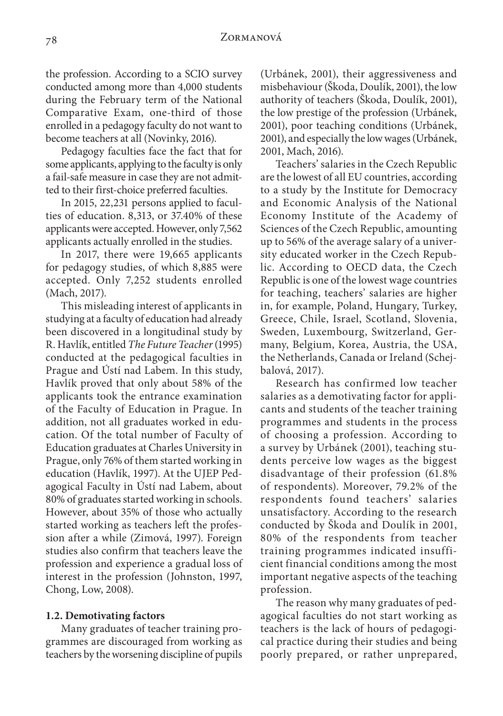the profession. According to a SCIO survey conducted among more than 4,000 students during the February term of the National Comparative Exam, one-third of those enrolled in a pedagogy faculty do not want to become teachers at all (Novinky, 2016).

Pedagogy faculties face the fact that for some applicants, applying to the faculty is only a fail-safe measure in case they are not admitted to their first-choice preferred faculties.

In 2015, 22,231 persons applied to faculties of education. 8,313, or 37.40% of these applicants were accepted. However, only 7,562 applicants actually enrolled in the studies.

In 2017, there were 19,665 applicants for pedagogy studies, of which 8,885 were accepted. Only 7,252 students enrolled (Mach, 2017).

This misleading interest of applicants in studying at a faculty of education had already been discovered in a longitudinal study by R. Havlík, entitled *The Future Teacher* (1995) conducted at the pedagogical faculties in Prague and Ústí nad Labem. In this study, Havlík proved that only about 58% of the applicants took the entrance examination of the Faculty of Education in Prague. In addition, not all graduates worked in education. Of the total number of Faculty of Education graduates at Charles University in Prague, only 76% of them started working in education (Havlík, 1997). At the UJEP Pedagogical Faculty in Ústí nad Labem, about 80% of graduates started working in schools. However, about 35% of those who actually started working as teachers left the profession after a while (Zimová, 1997). Foreign studies also confirm that teachers leave the profession and experience a gradual loss of interest in the profession (Johnston, 1997, Chong, Low, 2008).

## **1.2. Demotivating factors**

Many graduates of teacher training programmes are discouraged from working as teachers by the worsening discipline of pupils (Urbánek, 2001), their aggressiveness and misbehaviour (Škoda, Doulík, 2001), the low authority of teachers (Škoda, Doulík, 2001), the low prestige of the profession (Urbánek, 2001), poor teaching conditions (Urbánek, 2001), and especially the low wages (Urbánek, 2001, Mach, 2016).

Teachers' salaries in the Czech Republic are the lowest of all EU countries, according to a study by the Institute for Democracy and Economic Analysis of the National Economy Institute of the Academy of Sciences of the Czech Republic, amounting up to 56% of the average salary of a university educated worker in the Czech Republic. According to OECD data, the Czech Republic is one of the lowest wage countries for teaching, teachers' salaries are higher in, for example, Poland, Hungary, Turkey, Greece, Chile, Israel, Scotland, Slovenia, Sweden, Luxembourg, Switzerland, Germany, Belgium, Korea, Austria, the USA, the Netherlands, Canada or Ireland (Schejbalová, 2017).

Research has confirmed low teacher salaries as a demotivating factor for applicants and students of the teacher training programmes and students in the process of choosing a profession. According to a survey by Urbánek (2001), teaching students perceive low wages as the biggest disadvantage of their profession (61.8% of respondents). Moreover, 79.2% of the respondents found teachers' salaries unsatisfactory. According to the research conducted by Škoda and Doulík in 2001, 80% of the respondents from teacher training programmes indicated insufficient financial conditions among the most important negative aspects of the teaching profession.

The reason why many graduates of pedagogical faculties do not start working as teachers is the lack of hours of pedagogical practice during their studies and being poorly prepared, or rather unprepared,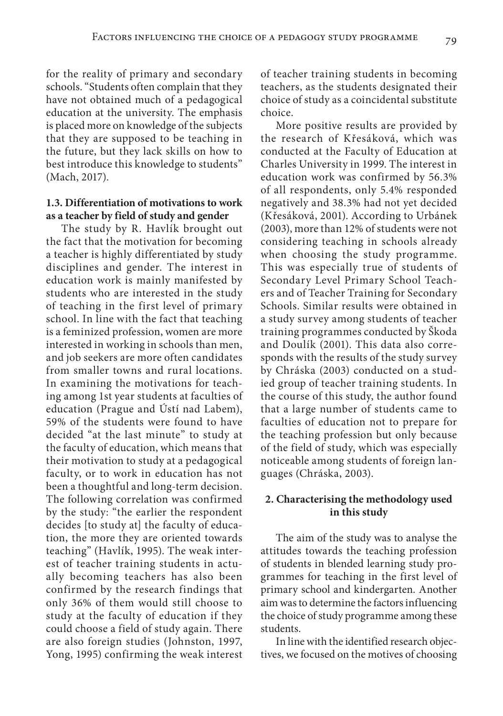for the reality of primary and secondary schools. "Students often complain that they have not obtained much of a pedagogical education at the university. The emphasis is placed more on knowledge of the subjects that they are supposed to be teaching in the future, but they lack skills on how to best introduce this knowledge to students" (Mach, 2017).

# **1.3. Differentiation of motivations to work as a teacher by field of study and gender**

The study by R. Havlík brought out the fact that the motivation for becoming a teacher is highly differentiated by study disciplines and gender. The interest in education work is mainly manifested by students who are interested in the study of teaching in the first level of primary school. In line with the fact that teaching is a feminized profession, women are more interested in working in schools than men, and job seekers are more often candidates from smaller towns and rural locations. In examining the motivations for teaching among 1st year students at faculties of education (Prague and Ústí nad Labem), 59% of the students were found to have decided "at the last minute" to study at the faculty of education, which means that their motivation to study at a pedagogical faculty, or to work in education has not been a thoughtful and long-term decision. The following correlation was confirmed by the study: "the earlier the respondent decides [to study at] the faculty of education, the more they are oriented towards teaching" (Havlík, 1995). The weak interest of teacher training students in actually becoming teachers has also been confirmed by the research findings that only 36% of them would still choose to study at the faculty of education if they could choose a field of study again. There are also foreign studies (Johnston, 1997, Yong, 1995) confirming the weak interest

of teacher training students in becoming teachers, as the students designated their choice of study as a coincidental substitute choice.

More positive results are provided by the research of Křesáková, which was conducted at the Faculty of Education at Charles University in 1999. The interest in education work was confirmed by 56.3% of all respondents, only 5.4% responded negatively and 38.3% had not yet decided (Křesáková, 2001). According to Urbánek (2003), more than 12% of students were not considering teaching in schools already when choosing the study programme. This was especially true of students of Secondary Level Primary School Teachers and of Teacher Training for Secondary Schools. Similar results were obtained in a study survey among students of teacher training programmes conducted by Škoda and Doulík (2001). This data also corresponds with the results of the study survey by Chráska (2003) conducted on a studied group of teacher training students. In the course of this study, the author found that a large number of students came to faculties of education not to prepare for the teaching profession but only because of the field of study, which was especially noticeable among students of foreign languages (Chráska, 2003).

# **2. Characterising the methodology used in this study**

The aim of the study was to analyse the attitudes towards the teaching profession of students in blended learning study programmes for teaching in the first level of primary school and kindergarten. Another aim was to determine the factors influencing the choice of study programme among these students.

In line with the identified research objectives, we focused on the motives of choosing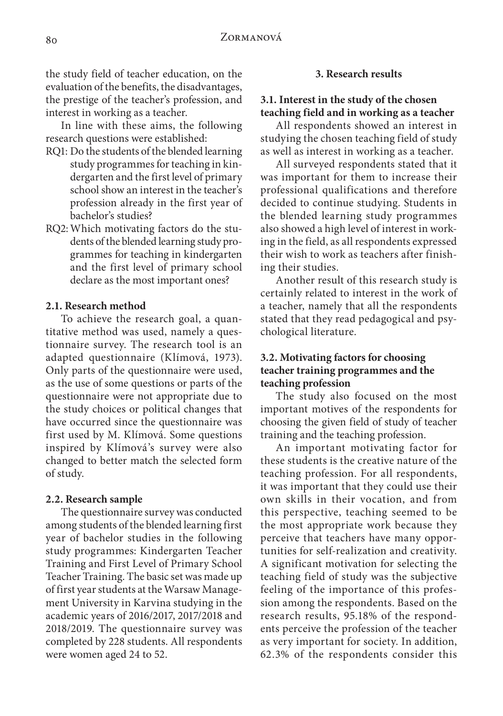the study field of teacher education, on the evaluation of the benefits, the disadvantages, the prestige of the teacher's profession, and interest in working as a teacher.

In line with these aims, the following research questions were established:

- RQ1: Do the students of the blended learning study programmes for teaching in kindergarten and the first level of primary school show an interest in the teacher's profession already in the first year of bachelor's studies?
- RQ2:Which motivating factors do the students of the blended learning study programmes for teaching in kindergarten and the first level of primary school declare as the most important ones?

## **2.1. Research method**

To achieve the research goal, a quantitative method was used, namely a questionnaire survey. The research tool is an adapted questionnaire (Klímová, 1973). Only parts of the questionnaire were used, as the use of some questions or parts of the questionnaire were not appropriate due to the study choices or political changes that have occurred since the questionnaire was first used by M. Klímová. Some questions inspired by Klímová's survey were also changed to better match the selected form of study.

#### **2.2. Research sample**

The questionnaire survey was conducted among students of the blended learning first year of bachelor studies in the following study programmes: Kindergarten Teacher Training and First Level of Primary School Teacher Training. The basic set was made up of first year students at the Warsaw Management University in Karvina studying in the academic years of 2016/2017, 2017/2018 and 2018/2019. The questionnaire survey was completed by 228 students. All respondents were women aged 24 to 52.

## **3. Research results**

# **3.1. Interest in the study of the chosen teaching field and in working as a teacher**

All respondents showed an interest in studying the chosen teaching field of study as well as interest in working as a teacher.

All surveyed respondents stated that it was important for them to increase their professional qualifications and therefore decided to continue studying. Students in the blended learning study programmes also showed a high level of interest in working in the field, as all respondents expressed their wish to work as teachers after finishing their studies.

Another result of this research study is certainly related to interest in the work of a teacher, namely that all the respondents stated that they read pedagogical and psychological literature.

# **3.2. Motivating factors for choosing teacher training programmes and the teaching profession**

The study also focused on the most important motives of the respondents for choosing the given field of study of teacher training and the teaching profession.

An important motivating factor for these students is the creative nature of the teaching profession. For all respondents, it was important that they could use their own skills in their vocation, and from this perspective, teaching seemed to be the most appropriate work because they perceive that teachers have many opportunities for self-realization and creativity. A significant motivation for selecting the teaching field of study was the subjective feeling of the importance of this profession among the respondents. Based on the research results, 95.18% of the respondents perceive the profession of the teacher as very important for society. In addition, 62.3% of the respondents consider this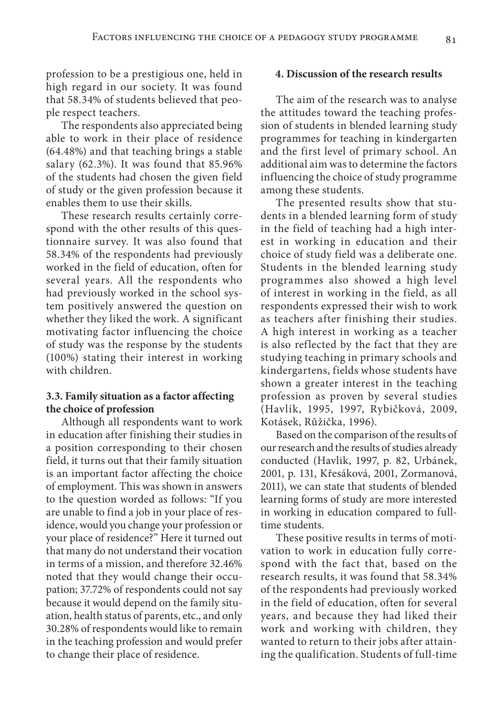profession to be a prestigious one, held in high regard in our society. It was found that 58.34% of students believed that people respect teachers.

The respondents also appreciated being able to work in their place of residence (64.48%) and that teaching brings a stable salary (62.3%). It was found that 85.96% of the students had chosen the given field of study or the given profession because it enables them to use their skills.

These research results certainly correspond with the other results of this questionnaire survey. It was also found that 58.34% of the respondents had previously worked in the field of education, often for several years. All the respondents who had previously worked in the school system positively answered the question on whether they liked the work. A significant motivating factor influencing the choice of study was the response by the students (100%) stating their interest in working with children.

# **3.3. Family situation as a factor affecting the choice of profession**

Although all respondents want to work in education after finishing their studies in a position corresponding to their chosen field, it turns out that their family situation is an important factor affecting the choice of employment. This was shown in answers to the question worded as follows: "If you are unable to find a job in your place of residence, would you change your profession or your place of residence?" Here it turned out that many do not understand their vocation in terms of a mission, and therefore 32.46% noted that they would change their occupation; 37.72% of respondents could not say because it would depend on the family situation, health status of parents, etc., and only 30.28% of respondents would like to remain in the teaching profession and would prefer to change their place of residence.

## **4. Discussion of the research results**

The aim of the research was to analyse the attitudes toward the teaching profession of students in blended learning study programmes for teaching in kindergarten and the first level of primary school. An additional aim was to determine the factors influencing the choice of study programme among these students.

The presented results show that students in a blended learning form of study in the field of teaching had a high interest in working in education and their choice of study field was a deliberate one. Students in the blended learning study programmes also showed a high level of interest in working in the field, as all respondents expressed their wish to work as teachers after finishing their studies. A high interest in working as a teacher is also reflected by the fact that they are studying teaching in primary schools and kindergartens, fields whose students have shown a greater interest in the teaching profession as proven by several studies (Havlík, 1995, 1997, Rybičková, 2009, Kotásek, Růžička, 1996).

Based on the comparison of the results of our research and the results of studies already conducted (Havlik, 1997, p. 82, Urbánek, 2001, p. 131, Křesáková, 2001, Zormanová, 2011), we can state that students of blended learning forms of study are more interested in working in education compared to fulltime students.

These positive results in terms of motivation to work in education fully correspond with the fact that, based on the research results, it was found that 58.34% of the respondents had previously worked in the field of education, often for several years, and because they had liked their work and working with children, they wanted to return to their jobs after attaining the qualification. Students of full-time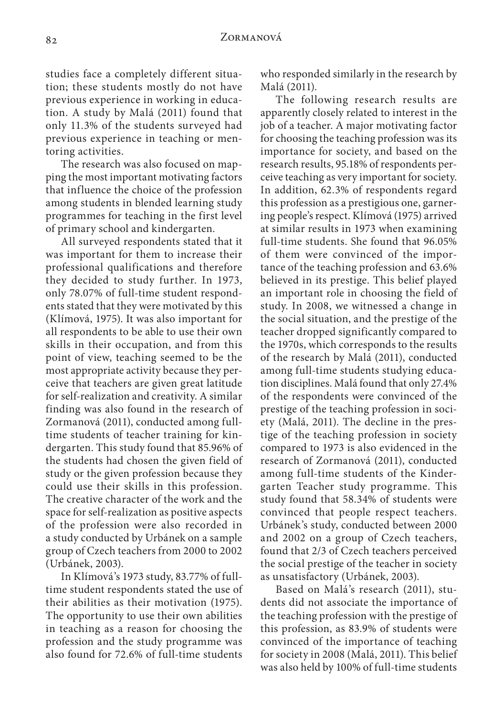studies face a completely different situation; these students mostly do not have previous experience in working in education. A study by Malá (2011) found that only 11.3% of the students surveyed had previous experience in teaching or mentoring activities.

The research was also focused on mapping the most important motivating factors that influence the choice of the profession among students in blended learning study programmes for teaching in the first level of primary school and kindergarten.

All surveyed respondents stated that it was important for them to increase their professional qualifications and therefore they decided to study further. In 1973, only 78.07% of full-time student respondents stated that they were motivated by this (Klímová, 1975). It was also important for all respondents to be able to use their own skills in their occupation, and from this point of view, teaching seemed to be the most appropriate activity because they perceive that teachers are given great latitude for self-realization and creativity. A similar finding was also found in the research of Zormanová (2011), conducted among fulltime students of teacher training for kindergarten. This study found that 85.96% of the students had chosen the given field of study or the given profession because they could use their skills in this profession. The creative character of the work and the space for self-realization as positive aspects of the profession were also recorded in a study conducted by Urbánek on a sample group of Czech teachers from 2000 to 2002 (Urbánek, 2003).

In Klímová's 1973 study, 83.77% of fulltime student respondents stated the use of their abilities as their motivation (1975). The opportunity to use their own abilities in teaching as a reason for choosing the profession and the study programme was also found for 72.6% of full-time students

who responded similarly in the research by Malá (2011).

The following research results are apparently closely related to interest in the job of a teacher. A major motivating factor for choosing the teaching profession was its importance for society, and based on the research results, 95.18% of respondents perceive teaching as very important for society. In addition, 62.3% of respondents regard this profession as a prestigious one, garnering people's respect. Klímová (1975) arrived at similar results in 1973 when examining full-time students. She found that 96.05% of them were convinced of the importance of the teaching profession and 63.6% believed in its prestige. This belief played an important role in choosing the field of study. In 2008, we witnessed a change in the social situation, and the prestige of the teacher dropped significantly compared to the 1970s, which corresponds to the results of the research by Malá (2011), conducted among full-time students studying education disciplines. Malá found that only 27.4% of the respondents were convinced of the prestige of the teaching profession in society (Malá, 2011). The decline in the prestige of the teaching profession in society compared to 1973 is also evidenced in the research of Zormanová (2011), conducted among full-time students of the Kindergarten Teacher study programme. This study found that 58.34% of students were convinced that people respect teachers. Urbánek's study, conducted between 2000 and 2002 on a group of Czech teachers, found that 2/3 of Czech teachers perceived the social prestige of the teacher in society as unsatisfactory (Urbánek, 2003).

Based on Malá's research (2011), students did not associate the importance of the teaching profession with the prestige of this profession, as 83.9% of students were convinced of the importance of teaching for society in 2008 (Malá, 2011). This belief was also held by 100% of full-time students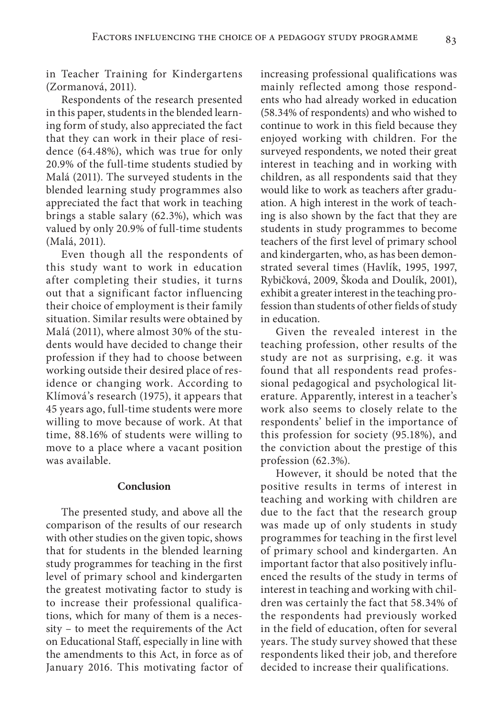in Teacher Training for Kindergartens (Zormanová, 2011).

Respondents of the research presented in this paper, students in the blended learning form of study, also appreciated the fact that they can work in their place of residence (64.48%), which was true for only 20.9% of the full-time students studied by Malá (2011). The surveyed students in the blended learning study programmes also appreciated the fact that work in teaching brings a stable salary (62.3%), which was valued by only 20.9% of full-time students (Malá, 2011).

Even though all the respondents of this study want to work in education after completing their studies, it turns out that a significant factor influencing their choice of employment is their family situation. Similar results were obtained by Malá (2011), where almost 30% of the students would have decided to change their profession if they had to choose between working outside their desired place of residence or changing work. According to Klímová's research (1975), it appears that 45 years ago, full-time students were more willing to move because of work. At that time, 88.16% of students were willing to move to a place where a vacant position was available.

#### **Conclusion**

The presented study, and above all the comparison of the results of our research with other studies on the given topic, shows that for students in the blended learning study programmes for teaching in the first level of primary school and kindergarten the greatest motivating factor to study is to increase their professional qualifications, which for many of them is a necessity – to meet the requirements of the Act on Educational Staff, especially in line with the amendments to this Act, in force as of January 2016. This motivating factor of increasing professional qualifications was mainly reflected among those respondents who had already worked in education (58.34% of respondents) and who wished to continue to work in this field because they enjoyed working with children. For the surveyed respondents, we noted their great interest in teaching and in working with children, as all respondents said that they would like to work as teachers after graduation. A high interest in the work of teaching is also shown by the fact that they are students in study programmes to become teachers of the first level of primary school and kindergarten, who, as has been demonstrated several times (Havlík, 1995, 1997, Rybičková, 2009, Škoda and Doulík, 2001), exhibit a greater interest in the teaching profession than students of other fields of study in education.

Given the revealed interest in the teaching profession, other results of the study are not as surprising, e.g. it was found that all respondents read professional pedagogical and psychological literature. Apparently, interest in a teacher's work also seems to closely relate to the respondents' belief in the importance of this profession for society (95.18%), and the conviction about the prestige of this profession (62.3%).

However, it should be noted that the positive results in terms of interest in teaching and working with children are due to the fact that the research group was made up of only students in study programmes for teaching in the first level of primary school and kindergarten. An important factor that also positively influenced the results of the study in terms of interest in teaching and working with children was certainly the fact that 58.34% of the respondents had previously worked in the field of education, often for several years. The study survey showed that these respondents liked their job, and therefore decided to increase their qualifications.